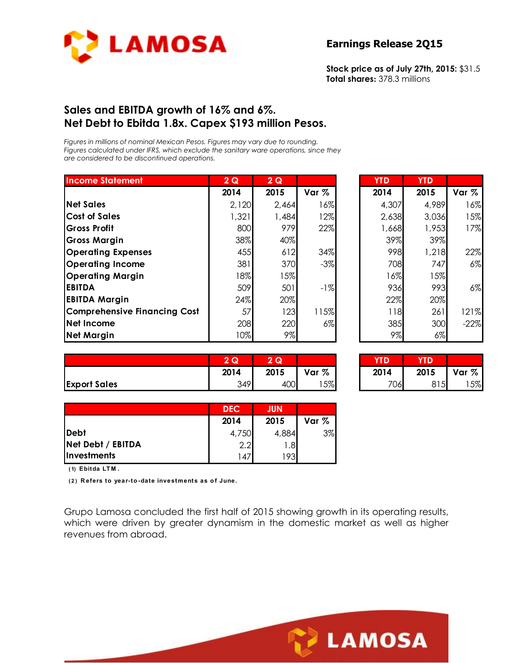

**Stock price as of July 27th, 2015:** \$31.5 **Total shares:** 378.3 millions

### **Sales and EBITDA growth of 16% and 6%. Net Debt to Ebitda 1.8x. Capex \$193 million Pesos.**

*Figures in millions of nominal Mexican Pesos. Figures may vary due to rounding. Figures calculated under IFRS, which exclude the sanitary ware operations, since they are considered to be discontinued operations.* 

| <b>Income Statement</b>             | 2Q    | 2Q    |       | <b>YTD</b> | <b>YTD</b> |        |
|-------------------------------------|-------|-------|-------|------------|------------|--------|
|                                     | 2014  | 2015  | Var % | 2014       | 2015       | Var %  |
| <b>Net Sales</b>                    | 2,120 | 2,464 | 16%   | 4,307      | 4,989      | 16%    |
| <b>Cost of Sales</b>                | 1,321 | 1,484 | 12%   | 2,638      | 3,036      | 15%    |
| <b>Gross Profit</b>                 | 800   | 979   | 22%   | 1,668      | 1,953      | 17%    |
| <b>Gross Margin</b>                 | 38%   | 40%   |       | 39%        | 39%        |        |
| <b>Operating Expenses</b>           | 455   | 612   | 34%   | 998        | 1,218      | 22%    |
| <b>Operating Income</b>             | 381   | 370   | $-3%$ | 708        | 747        | 6%     |
| <b>Operating Margin</b>             | 18%   | 15%   |       | 16%        | 15%        |        |
| <b>EBITDA</b>                       | 509   | 501   | $-1%$ | 936        | 993        | 6%     |
| <b>EBITDA Margin</b>                | 24%   | 20%   |       | 22%        | 20%        |        |
| <b>Comprehensive Financing Cost</b> | 57    | 123   | 115%  | 118        | 261        | 121%   |
| Net Income                          | 208   | 220   | $6\%$ | 385        | 300        | $-22%$ |
| <b>Net Margin</b>                   | 10%   | 9%    |       | 9%         | $6\%$      |        |

| $2\overline{Q}$ | 2Q    |       | <b>YTD</b> | <b>YTD</b> |        |
|-----------------|-------|-------|------------|------------|--------|
| 2014            | 2015  | Var % | 2014       | 2015       | Var %  |
| 2,120           | 2,464 | 16%   | 4,307      | 4,989      | 16%    |
| 1,321           | 1,484 | 12%   | 2,638      | 3,036      | 15%    |
| 800             | 979   | 22%   | 1,668      | 1,953      | 17%    |
| 38%             | 40%   |       | 39%        | 39%        |        |
| 455             | 612   | 34%   | 998        | 1,218      | 22%    |
| 381             | 370   | $-3%$ | 708        | 747        | $6\%$  |
| 18%             | 15%   |       | 16%        | 15%        |        |
| 509             | 501   | $-1%$ | 936        | 993        | $6\%$  |
| 24%             | 20%   |       | 22%        | 20%        |        |
| 57              | 123   | 115%  | 118        | 261        | 121%   |
| 208             | 220   | $6\%$ | 385        | 300        | $-22%$ |
| 10%             | 9%    |       | 9%         | $6\%$      |        |

|                     | 2Q   | 2Q   |       | <b>YTD</b> | <b>YTD</b> |       |
|---------------------|------|------|-------|------------|------------|-------|
|                     | 2014 | 2015 | Var % | 2014       | 2015       | Var % |
| <b>Export Sales</b> | 349  | 400  | 5%    | 706        | 815        | 5%    |

| G.   | Q    |       |      |      |       |
|------|------|-------|------|------|-------|
| 2014 | 2015 | Var % | 2014 | 2015 | Var % |
| 349  | 400  | 5%    | 706  | 5    | 5%    |

|                    | <b>DEC</b> | <b>JUN</b> |       |
|--------------------|------------|------------|-------|
|                    | 2014       | 2015       | Var % |
| <b>IDebt</b>       | 4,750      | 4,884      | 3%    |
| Net Debt / EBITDA  | 2.2        | 1.8        |       |
| <b>Investments</b> | 47 ا       | 1931       |       |

**( 1) Ebitda LT M .**

**( 2 ) R efers to year-to -date investments as o f June.**

Grupo Lamosa concluded the first half of 2015 showing growth in its operating results, which were driven by greater dynamism in the domestic market as well as higher revenues from abroad.

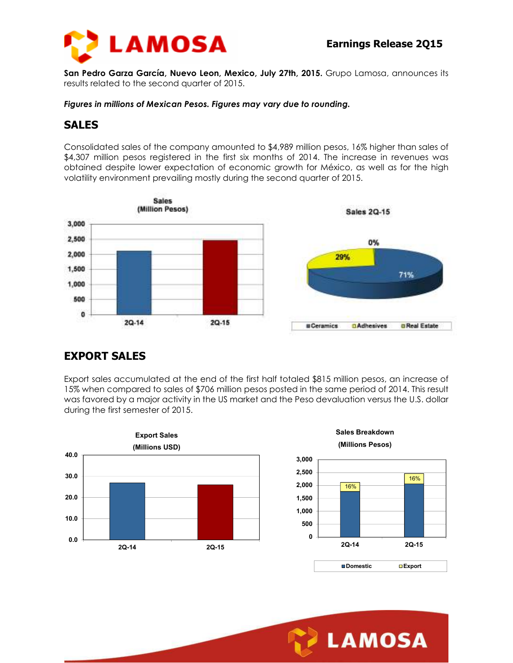



**San Pedro Garza García, Nuevo Leon, Mexico, July 27th, 2015.** Grupo Lamosa, announces its results related to the second quarter of 2015.

*Figures in millions of Mexican Pesos. Figures may vary due to rounding.* 

### **SALES**

Consolidated sales of the company amounted to \$4,989 million pesos, 16% higher than sales of \$4,307 million pesos registered in the first six months of 2014. The increase in revenues was obtained despite lower expectation of economic growth for México, as well as for the high volatility environment prevailing mostly during the second quarter of 2015.



## **EXPORT SALES**

Export sales accumulated at the end of the first half totaled \$815 million pesos, an increase of 15% when compared to sales of \$706 million pesos posted in the same period of 2014. This result was favored by a major activity in the US market and the Peso devaluation versus the U.S. dollar during the first semester of 2015.

**3,000**



**Sales Breakdown (Millions Pesos)**



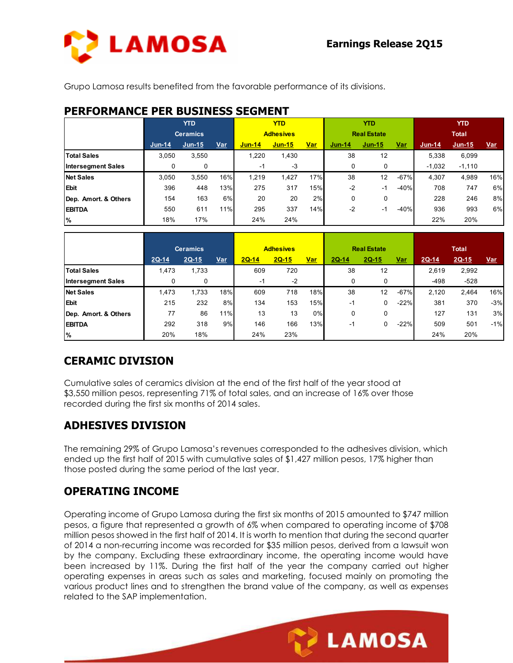

**LAMOSA** 

Grupo Lamosa results benefited from the favorable performance of its divisions.

## **PERFORMANCE PER BUSINESS SEGMENT**

|                           | <b>YTD</b> |                 | <b>YTD</b> |                  |          | <b>YTD</b> |                    |          | <b>YTD</b> |              |          |            |
|---------------------------|------------|-----------------|------------|------------------|----------|------------|--------------------|----------|------------|--------------|----------|------------|
|                           |            | <b>Ceramics</b> |            | <b>Adhesives</b> |          |            | <b>Real Estate</b> |          |            | <b>Total</b> |          |            |
|                           | $Jun-14$   | $Jun-15$        | <u>Var</u> | <b>Jun-14</b>    | $Jun-15$ | <u>Var</u> | $Jun-14$           | $Jun-15$ | <u>Var</u> | $Jun-14$     | $Jun-15$ | <u>Var</u> |
| <b>Total Sales</b>        | 3,050      | 3,550           |            | 1,220            | 1,430    |            | 38                 | 12       |            | 5,338        | 6,099    |            |
| <b>Intersegment Sales</b> | 0          | 0               |            | -1               | $-3$     |            | 0                  | 0        |            | $-1,032$     | $-1,110$ |            |
| <b>Net Sales</b>          | 3.050      | 3,550           | 16%        | 1.219            | 1,427    | 17%        | 38                 | 12       | $-67%$     | 4,307        | 4,989    | 16%        |
| <b>Ebit</b>               | 396        | 448             | 13%        | 275              | 317      | 15%        | $-2$               | $-1$     | $-40%$     | 708          | 747      | 6%         |
| Dep. Amort. & Others      | 154        | 163             | 6%         | 20               | 20       | 2%         | 0                  | 0        |            | 228          | 246      | 8%         |
| <b>EBITDA</b>             | 550        | 611             | 11%        | 295              | 337      | 14%        | $-2$               | -1       | $-40%$     | 936          | 993      | 6%         |
| %                         | 18%        | 17%             |            | 24%              | 24%      |            |                    |          |            | 22%          | 20%      |            |

|                           | <b>Ceramics</b> |         | <b>Adhesives</b> |         |         | <b>Real Estate</b> |       |         | <b>Total</b> |        |         |            |
|---------------------------|-----------------|---------|------------------|---------|---------|--------------------|-------|---------|--------------|--------|---------|------------|
|                           | 2Q-14           | $2Q-15$ | <u>Var</u>       | $2Q-14$ | $2Q-15$ | <u>Var</u>         | 2Q-14 | $2Q-15$ | <u>Var</u>   | 2Q-14  | $2Q-15$ | <u>Var</u> |
| <b>Total Sales</b>        | 1,473           | 1,733   |                  | 609     | 720     |                    | 38    | 12      |              | 2,619  | 2,992   |            |
| <b>Intersegment Sales</b> | 0               | 0       |                  | -1      | $-2$    |                    |       | 0       |              | $-498$ | $-528$  |            |
| <b>Net Sales</b>          | 1,473           | 1,733   | 18%              | 609     | 718     | 18%                | 38    | 12      | $-67%$       | 2,120  | 2,464   | 16%        |
| <b>Ebit</b>               | 215             | 232     | 8%               | 134     | 153     | 15%                | -1    | 0       | $-22%$       | 381    | 370     | $-3%$      |
| Dep. Amort. & Others      | 77              | 86      | 11%              | 13      | 13      | 0%                 | 0     | 0       |              | 127    | 131     | 3%         |
| <b>EBITDA</b>             | 292             | 318     | 9%               | 146     | 166     | 13%                | -1    | 0       | $-22%$       | 509    | 501     | $-1%$      |
| %                         | 20%             | 18%     |                  | 24%     | 23%     |                    |       |         |              | 24%    | 20%     |            |

# **CERAMIC DIVISION**

Cumulative sales of ceramics division at the end of the first half of the year stood at \$3,550 million pesos, representing 71% of total sales, and an increase of 16% over those recorded during the first six months of 2014 sales.

# **ADHESIVES DIVISION**

The remaining 29% of Grupo Lamosa's revenues corresponded to the adhesives division, which ended up the first half of 2015 with cumulative sales of \$1,427 million pesos, 17% higher than those posted during the same period of the last year.

# **OPERATING INCOME**

Operating income of Grupo Lamosa during the first six months of 2015 amounted to \$747 million pesos, a figure that represented a growth of 6% when compared to operating income of \$708 million pesos showed in the first half of 2014. It is worth to mention that during the second quarter of 2014 a non-recurring income was recorded for \$35 million pesos, derived from a lawsuit won by the company. Excluding these extraordinary income, the operating income would have been increased by 11%. During the first half of the year the company carried out higher operating expenses in areas such as sales and marketing, focused mainly on promoting the various product lines and to strengthen the brand value of the company, as well as expenses related to the SAP implementation.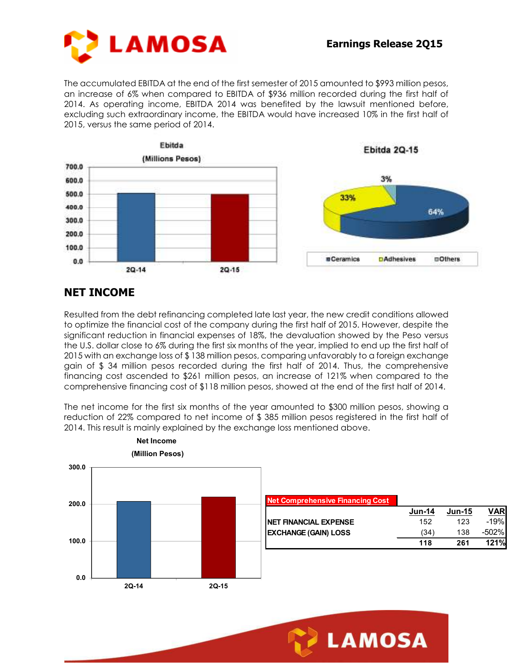

The accumulated EBITDA at the end of the first semester of 2015 amounted to \$993 million pesos, an increase of 6% when compared to EBITDA of \$936 million recorded during the first half of 2014. As operating income, EBITDA 2014 was benefited by the lawsuit mentioned before, excluding such extraordinary income, the EBITDA would have increased 10% in the first half of 2015, versus the same period of 2014.



## **NET INCOME**

Resulted from the debt refinancing completed late last year, the new credit conditions allowed to optimize the financial cost of the company during the first half of 2015. However, despite the significant reduction in financial expenses of 18%, the devaluation showed by the Peso versus the U.S. dollar close to 6% during the first six months of the year, implied to end up the first half of 2015 with an exchange loss of \$ 138 million pesos, comparing unfavorably to a foreign exchange gain of \$ 34 million pesos recorded during the first half of 2014. Thus, the comprehensive financing cost ascended to \$261 million pesos, an increase of 121% when compared to the comprehensive financing cost of \$118 million pesos, showed at the end of the first half of 2014.

The net income for the first six months of the year amounted to \$300 million pesos, showing a reduction of 22% compared to net income of \$ 385 million pesos registered in the first half of 2014. This result is mainly explained by the exchange loss mentioned above.



**LAMOSA**